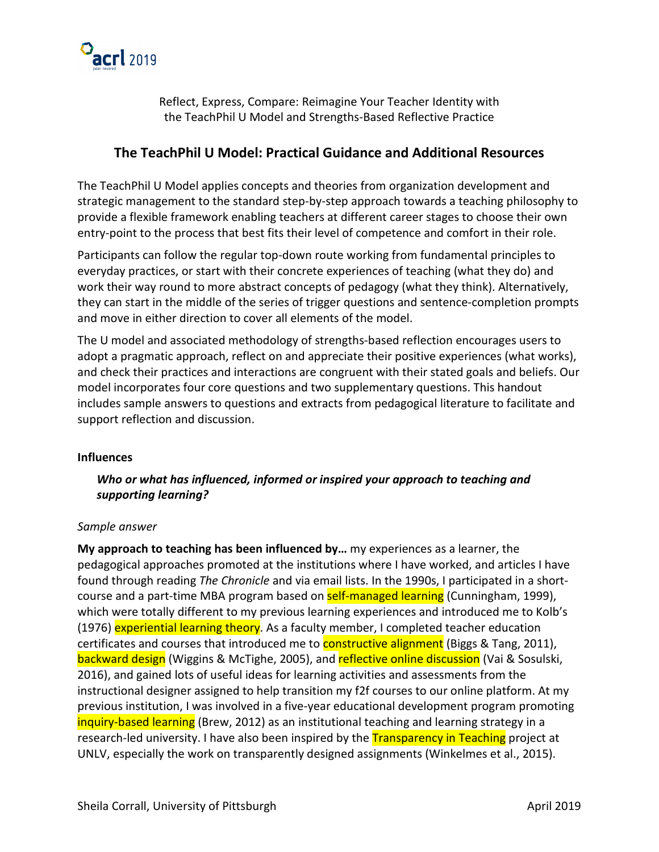

Reflect, Express, Compare: Reimagine Your Teacher Identity with the TeachPhil U Model and Strengths-Based Reflective Practice

# **The TeachPhil U Model: Practical Guidance and Additional Resources**

The TeachPhil U Model applies concepts and theories from organization development and strategic management to the standard step-by-step approach towards a teaching philosophy to provide a flexible framework enabling teachers at different career stages to choose their own entry-point to the process that best fits their level of competence and comfort in their role.

Participants can follow the regular top-down route working from fundamental principles to everyday practices, or start with their concrete experiences of teaching (what they do) and work their way round to more abstract concepts of pedagogy (what they think). Alternatively, they can start in the middle of the series of trigger questions and sentence-completion prompts and move in either direction to cover all elements of the model.

The U model and associated methodology of strengths-based reflection encourages users to adopt a pragmatic approach, reflect on and appreciate their positive experiences (what works), and check their practices and interactions are congruent with their stated goals and beliefs. Our model incorporates four core questions and two supplementary questions. This handout includes sample answers to questions and extracts from pedagogical literature to facilitate and support reflection and discussion.

#### **Influences**

*Who or what has influenced, informed or inspired your approach to teaching and supporting learning?*

## *Sample answer*

**My approach to teaching has been influenced by…** my experiences as a learner, the pedagogical approaches promoted at the institutions where I have worked, and articles I have found through reading *The Chronicle* and via email lists. In the 1990s, I participated in a shortcourse and a part-time MBA program based on **self-managed learning** (Cunningham, 1999), which were totally different to my previous learning experiences and introduced me to Kolb's (1976) experiential learning theory. As a faculty member, I completed teacher education certificates and courses that introduced me to **constructive alignment** (Biggs & Tang, 2011), backward design (Wiggins & McTighe, 2005), and reflective online discussion (Vai & Sosulski, 2016), and gained lots of useful ideas for learning activities and assessments from the instructional designer assigned to help transition my f2f courses to our online platform. At my previous institution, I was involved in a five-year educational development program promoting inquiry-based learning (Brew, 2012) as an institutional teaching and learning strategy in a research-led university. I have also been inspired by the **Transparency in Teaching** project at UNLV, especially the work on transparently designed assignments (Winkelmes et al., 2015).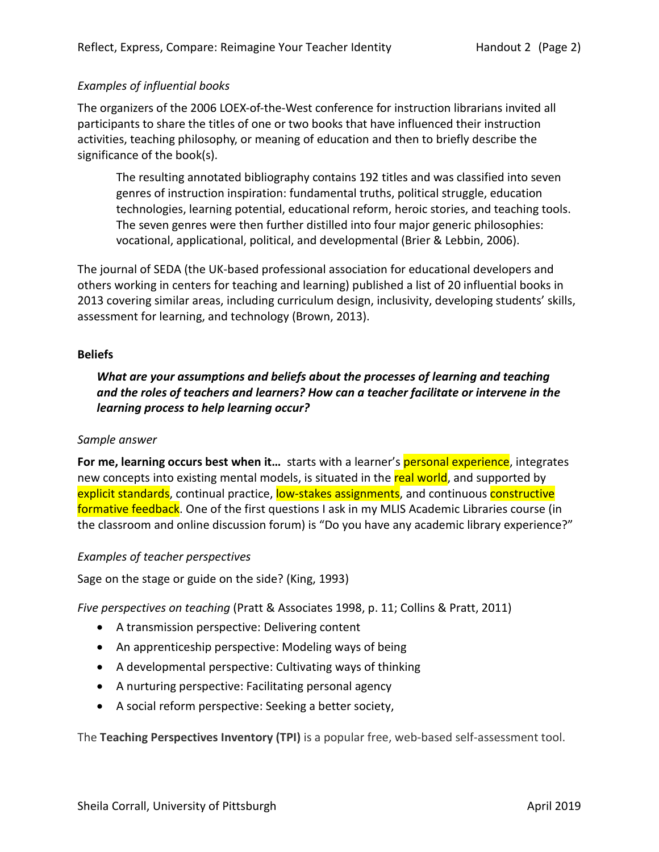## *Examples of influential books*

The organizers of the 2006 LOEX-of-the-West conference for instruction librarians invited all participants to share the titles of one or two books that have influenced their instruction activities, teaching philosophy, or meaning of education and then to briefly describe the significance of the book(s).

The resulting annotated bibliography contains 192 titles and was classified into seven genres of instruction inspiration: fundamental truths, political struggle, education technologies, learning potential, educational reform, heroic stories, and teaching tools. The seven genres were then further distilled into four major generic philosophies: vocational, applicational, political, and developmental (Brier & Lebbin, 2006).

The journal of SEDA (the UK-based professional association for educational developers and others working in centers for teaching and learning) published a list of 20 influential books in 2013 covering similar areas, including curriculum design, inclusivity, developing students' skills, assessment for learning, and technology (Brown, 2013).

## **Beliefs**

*What are your assumptions and beliefs about the processes of learning and teaching and the roles of teachers and learners? How can a teacher facilitate or intervene in the learning process to help learning occur?*

## *Sample answer*

**For me, learning occurs best when it...** starts with a learner's **personal experience**, integrates new concepts into existing mental models, is situated in the real world, and supported by explicit standards, continual practice, low-stakes assignments, and continuous constructive formative feedback. One of the first questions I ask in my MLIS Academic Libraries course (in the classroom and online discussion forum) is "Do you have any academic library experience?"

## *Examples of teacher perspectives*

Sage on the stage or guide on the side? (King, 1993)

*Five perspectives on teaching* (Pratt & Associates 1998, p. 11; Collins & Pratt, 2011)

- A transmission perspective: Delivering content
- An apprenticeship perspective: Modeling ways of being
- A developmental perspective: Cultivating ways of thinking
- A nurturing perspective: Facilitating personal agency
- A social reform perspective: Seeking a better society,

The **Teaching Perspectives Inventory (TPI)** is a popular free, web-based self-assessment tool.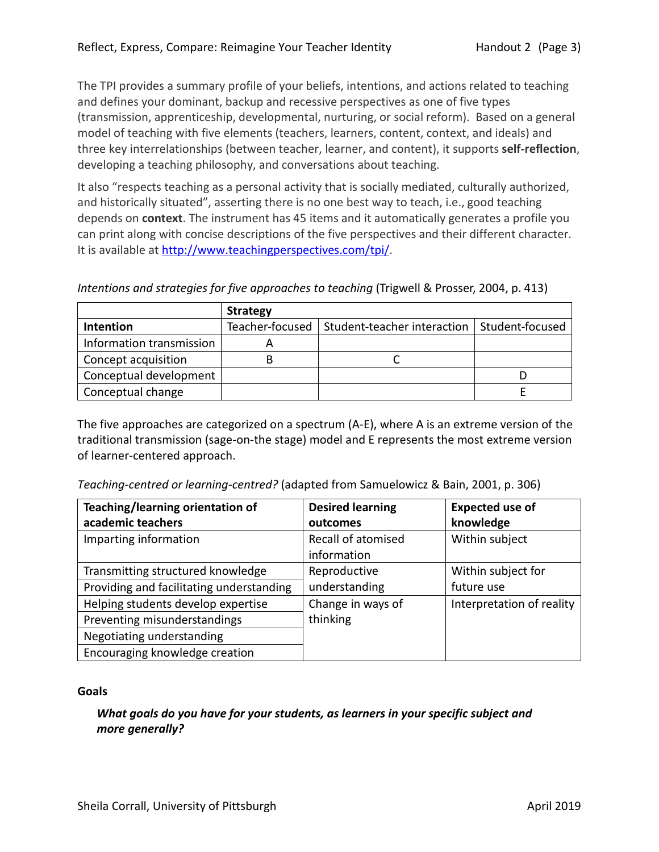The TPI provides a summary profile of your beliefs, intentions, and actions related to teaching and defines your dominant, backup and recessive perspectives as one of five types (transmission, apprenticeship, developmental, nurturing, or social reform). Based on a general model of teaching with five elements (teachers, learners, content, context, and ideals) and three key interrelationships (between teacher, learner, and content), it supports **self-reflection**, developing a teaching philosophy, and conversations about teaching.

It also "respects teaching as a personal activity that is socially mediated, culturally authorized, and historically situated", asserting there is no one best way to teach, i.e., good teaching depends on **context**. The instrument has 45 items and it automatically generates a profile you can print along with concise descriptions of the five perspectives and their different character. It is available at http://www.teachingperspectives.com/tpi/.

*Intentions and strategies for five approaches to teaching* (Trigwell & Prosser, 2004, p. 413)

|                          | <b>Strategy</b> |                             |                 |
|--------------------------|-----------------|-----------------------------|-----------------|
| Intention                | Teacher-focused | Student-teacher interaction | Student-focused |
| Information transmission |                 |                             |                 |
| Concept acquisition      |                 |                             |                 |
| Conceptual development   |                 |                             |                 |
| Conceptual change        |                 |                             |                 |

The five approaches are categorized on a spectrum (A-E), where A is an extreme version of the traditional transmission (sage-on-the stage) model and E represents the most extreme version of learner-centered approach.

*Teaching-centred or learning-centred?* (adapted from Samuelowicz & Bain, 2001, p. 306)

| Teaching/learning orientation of         | <b>Desired learning</b> | <b>Expected use of</b>    |
|------------------------------------------|-------------------------|---------------------------|
| academic teachers                        | outcomes                | knowledge                 |
| Imparting information                    | Recall of atomised      | Within subject            |
|                                          | information             |                           |
| Transmitting structured knowledge        | Reproductive            | Within subject for        |
| Providing and facilitating understanding | understanding           | future use                |
| Helping students develop expertise       | Change in ways of       | Interpretation of reality |
| Preventing misunderstandings             | thinking                |                           |
| Negotiating understanding                |                         |                           |
| Encouraging knowledge creation           |                         |                           |

## **Goals**

*What goals do you have for your students, as learners in your specific subject and more generally?*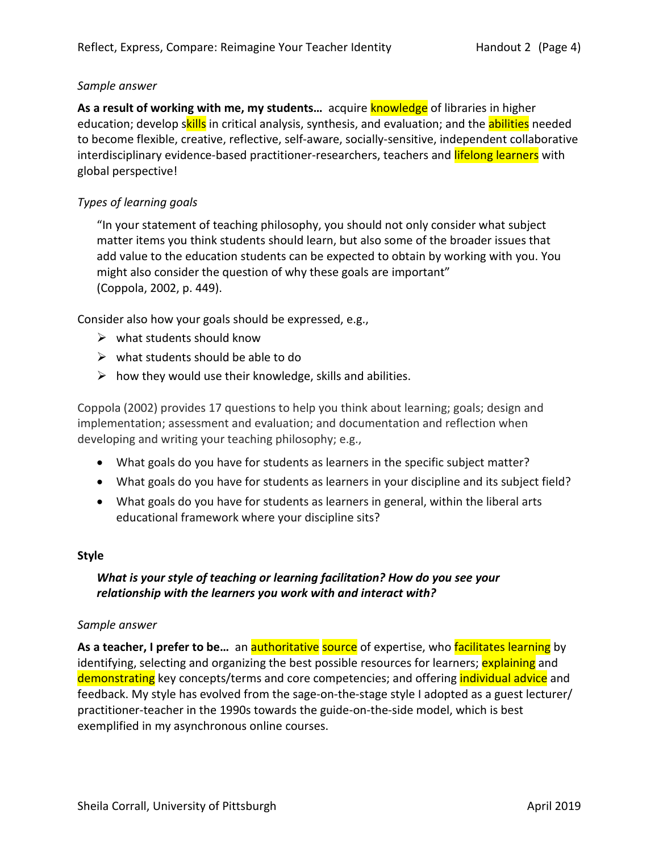## *Sample answer*

As a result of working with me, my students... acquire knowledge of libraries in higher education; develop skills in critical analysis, synthesis, and evaluation; and the abilities needed to become flexible, creative, reflective, self-aware, socially-sensitive, independent collaborative interdisciplinary evidence-based practitioner-researchers, teachers and **lifelong learners** with global perspective!

## *Types of learning goals*

"In your statement of teaching philosophy, you should not only consider what subject matter items you think students should learn, but also some of the broader issues that add value to the education students can be expected to obtain by working with you. You might also consider the question of why these goals are important" (Coppola, 2002, p. 449).

Consider also how your goals should be expressed, e.g.,

- $\triangleright$  what students should know
- $\triangleright$  what students should be able to do
- $\triangleright$  how they would use their knowledge, skills and abilities.

Coppola (2002) provides 17 questions to help you think about learning; goals; design and implementation; assessment and evaluation; and documentation and reflection when developing and writing your teaching philosophy; e.g.,

- What goals do you have for students as learners in the specific subject matter?
- What goals do you have for students as learners in your discipline and its subject field?
- What goals do you have for students as learners in general, within the liberal arts educational framework where your discipline sits?

## **Style**

## *What is your style of teaching or learning facilitation? How do you see your relationship with the learners you work with and interact with?*

#### *Sample answer*

As a teacher, I prefer to be... an authoritative source of expertise, who facilitates learning by identifying, selecting and organizing the best possible resources for learners; explaining and demonstrating key concepts/terms and core competencies; and offering *individual advice* and feedback. My style has evolved from the sage-on-the-stage style I adopted as a guest lecturer/ practitioner-teacher in the 1990s towards the guide-on-the-side model, which is best exemplified in my asynchronous online courses.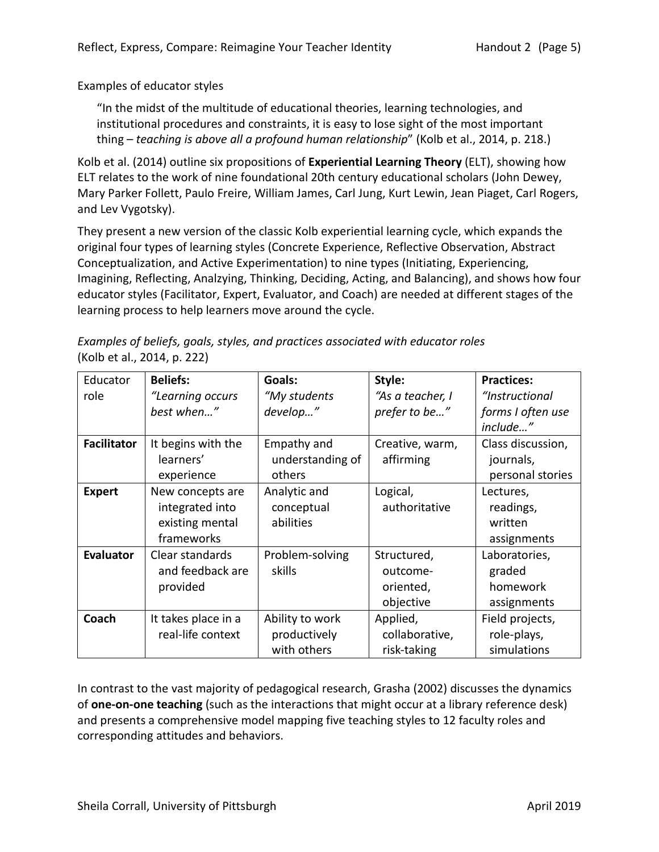Examples of educator styles

"In the midst of the multitude of educational theories, learning technologies, and institutional procedures and constraints, it is easy to lose sight of the most important thing – *teaching is above all a profound human relationship*" (Kolb et al., 2014, p. 218.)

Kolb et al. (2014) outline six propositions of **Experiential Learning Theory** (ELT), showing how ELT relates to the work of nine foundational 20th century educational scholars (John Dewey, Mary Parker Follett, Paulo Freire, William James, Carl Jung, Kurt Lewin, Jean Piaget, Carl Rogers, and Lev Vygotsky).

They present a new version of the classic Kolb experiential learning cycle, which expands the original four types of learning styles (Concrete Experience, Reflective Observation, Abstract Conceptualization, and Active Experimentation) to nine types (Initiating, Experiencing, Imagining, Reflecting, Analzying, Thinking, Deciding, Acting, and Balancing), and shows how four educator styles (Facilitator, Expert, Evaluator, and Coach) are needed at different stages of the learning process to help learners move around the cycle.

*Examples of beliefs, goals, styles, and practices associated with educator roles*  (Kolb et al., 2014, p. 222)

| Educator           | <b>Beliefs:</b>     | Goals:           | Style:           | <b>Practices:</b> |
|--------------------|---------------------|------------------|------------------|-------------------|
| role               | "Learning occurs    | "My students     | "As a teacher, I | "Instructional    |
|                    | best when"          | develop"         | prefer to be"    | forms I often use |
|                    |                     |                  |                  | include"          |
| <b>Facilitator</b> | It begins with the  | Empathy and      | Creative, warm,  | Class discussion, |
|                    | learners'           | understanding of | affirming        | journals,         |
|                    | experience          | others           |                  | personal stories  |
| <b>Expert</b>      | New concepts are    | Analytic and     | Logical,         | Lectures,         |
|                    | integrated into     | conceptual       | authoritative    | readings,         |
|                    | existing mental     | abilities        |                  | written           |
|                    | frameworks          |                  |                  | assignments       |
| <b>Evaluator</b>   | Clear standards     | Problem-solving  | Structured,      | Laboratories,     |
|                    | and feedback are    | skills           | outcome-         | graded            |
|                    | provided            |                  | oriented,        | homework          |
|                    |                     |                  | objective        | assignments       |
| Coach              | It takes place in a | Ability to work  | Applied,         | Field projects,   |
|                    | real-life context   | productively     | collaborative,   | role-plays,       |
|                    |                     | with others      | risk-taking      | simulations       |

In contrast to the vast majority of pedagogical research, Grasha (2002) discusses the dynamics of **one-on-one teaching** (such as the interactions that might occur at a library reference desk) and presents a comprehensive model mapping five teaching styles to 12 faculty roles and corresponding attitudes and behaviors.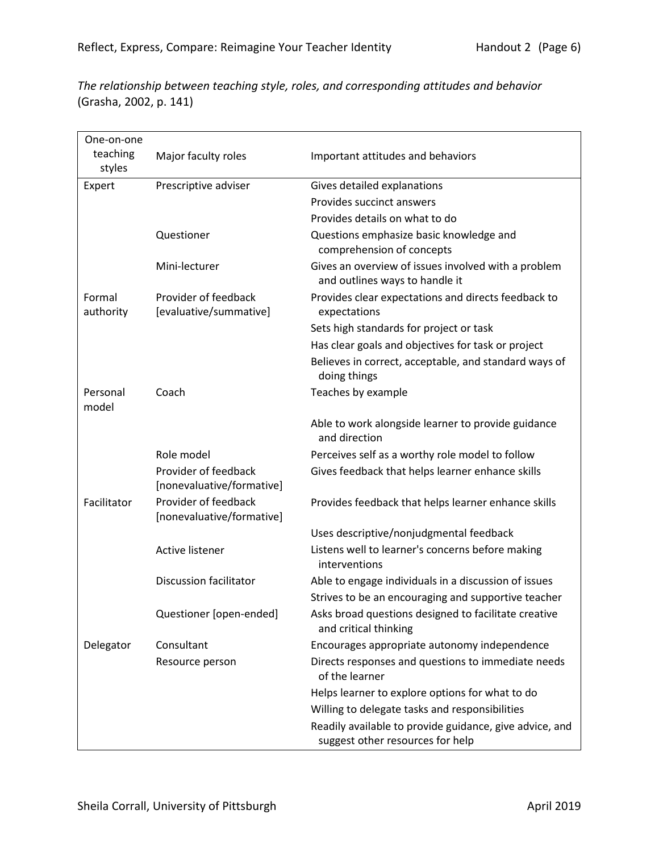*The relationship between teaching style, roles, and corresponding attitudes and behavior*  (Grasha, 2002, p. 141)

| One-on-one          |                                                   |                                                                                             |
|---------------------|---------------------------------------------------|---------------------------------------------------------------------------------------------|
| teaching<br>styles  | Major faculty roles                               | Important attitudes and behaviors                                                           |
| Expert              | Prescriptive adviser                              | Gives detailed explanations                                                                 |
|                     |                                                   | Provides succinct answers                                                                   |
|                     |                                                   | Provides details on what to do                                                              |
|                     | Questioner                                        | Questions emphasize basic knowledge and<br>comprehension of concepts                        |
|                     | Mini-lecturer                                     | Gives an overview of issues involved with a problem<br>and outlines ways to handle it       |
| Formal<br>authority | Provider of feedback<br>[evaluative/summative]    | Provides clear expectations and directs feedback to<br>expectations                         |
|                     |                                                   | Sets high standards for project or task                                                     |
|                     |                                                   | Has clear goals and objectives for task or project                                          |
|                     |                                                   | Believes in correct, acceptable, and standard ways of<br>doing things                       |
| Personal<br>model   | Coach                                             | Teaches by example                                                                          |
|                     |                                                   | Able to work alongside learner to provide guidance<br>and direction                         |
|                     | Role model                                        | Perceives self as a worthy role model to follow                                             |
|                     | Provider of feedback<br>[nonevaluative/formative] | Gives feedback that helps learner enhance skills                                            |
| Facilitator         | Provider of feedback<br>[nonevaluative/formative] | Provides feedback that helps learner enhance skills                                         |
|                     |                                                   | Uses descriptive/nonjudgmental feedback                                                     |
|                     | <b>Active listener</b>                            | Listens well to learner's concerns before making<br>interventions                           |
|                     | <b>Discussion facilitator</b>                     | Able to engage individuals in a discussion of issues                                        |
|                     |                                                   | Strives to be an encouraging and supportive teacher                                         |
|                     | Questioner [open-ended]                           | Asks broad questions designed to facilitate creative<br>and critical thinking               |
| Delegator           | Consultant                                        | Encourages appropriate autonomy independence                                                |
|                     | Resource person                                   | Directs responses and questions to immediate needs<br>of the learner                        |
|                     |                                                   | Helps learner to explore options for what to do                                             |
|                     |                                                   | Willing to delegate tasks and responsibilities                                              |
|                     |                                                   | Readily available to provide guidance, give advice, and<br>suggest other resources for help |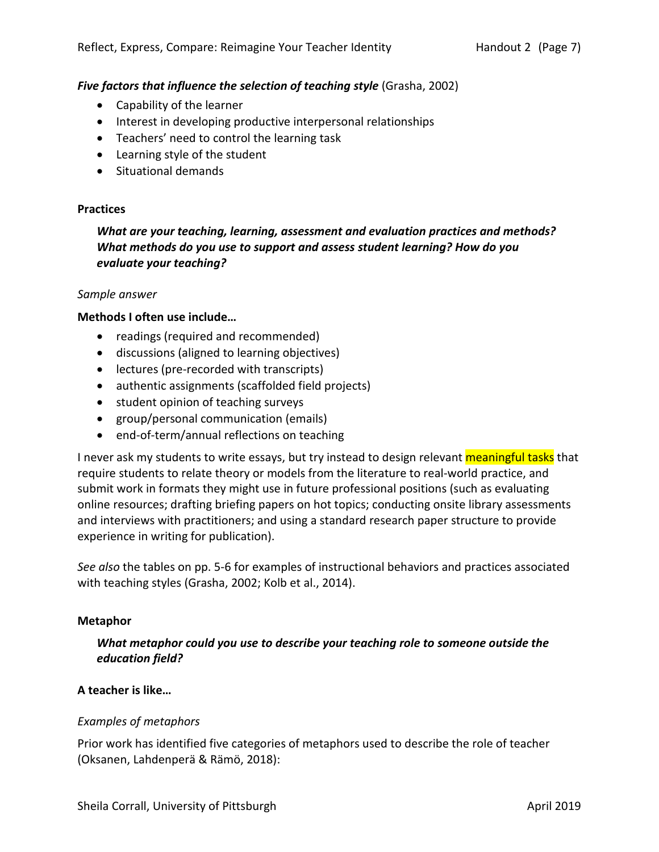## **Five factors that influence the selection of teaching style (Grasha, 2002)**

- Capability of the learner
- Interest in developing productive interpersonal relationships
- Teachers' need to control the learning task
- Learning style of the student
- Situational demands

#### **Practices**

*What are your teaching, learning, assessment and evaluation practices and methods? What methods do you use to support and assess student learning? How do you evaluate your teaching?*

#### *Sample answer*

#### **Methods I often use include…**

- readings (required and recommended)
- discussions (aligned to learning objectives)
- lectures (pre-recorded with transcripts)
- authentic assignments (scaffolded field projects)
- student opinion of teaching surveys
- group/personal communication (emails)
- end-of-term/annual reflections on teaching

I never ask my students to write essays, but try instead to design relevant meaningful tasks that require students to relate theory or models from the literature to real-world practice, and submit work in formats they might use in future professional positions (such as evaluating online resources; drafting briefing papers on hot topics; conducting onsite library assessments and interviews with practitioners; and using a standard research paper structure to provide experience in writing for publication).

*See also* the tables on pp. 5-6 for examples of instructional behaviors and practices associated with teaching styles (Grasha, 2002; Kolb et al., 2014).

#### **Metaphor**

*What metaphor could you use to describe your teaching role to someone outside the education field?*

## **A teacher is like…**

## *Examples of metaphors*

Prior work has identified five categories of metaphors used to describe the role of teacher (Oksanen, Lahdenperä & Rämö, 2018):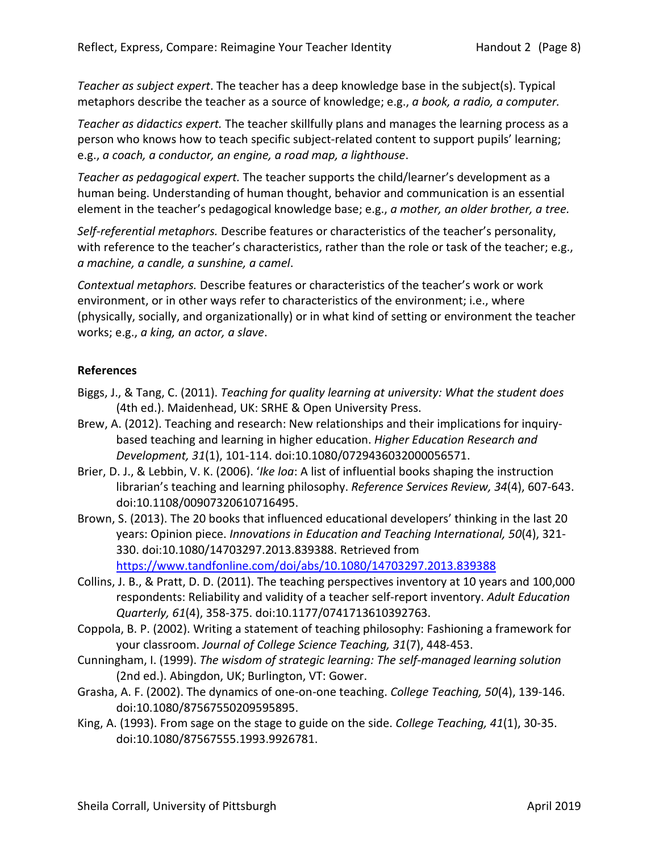*Teacher as subject expert*. The teacher has a deep knowledge base in the subject(s). Typical metaphors describe the teacher as a source of knowledge; e.g., *a book, a radio, a computer.*

*Teacher as didactics expert.* The teacher skillfully plans and manages the learning process as a person who knows how to teach specific subject-related content to support pupils' learning; e.g., *a coach, a conductor, an engine, a road map, a lighthouse*.

*Teacher as pedagogical expert.* The teacher supports the child/learner's development as a human being. Understanding of human thought, behavior and communication is an essential element in the teacher's pedagogical knowledge base; e.g., *a mother, an older brother, a tree.* 

*Self-referential metaphors.* Describe features or characteristics of the teacher's personality, with reference to the teacher's characteristics, rather than the role or task of the teacher; e.g., *a machine, a candle, a sunshine, a camel*.

*Contextual metaphors.* Describe features or characteristics of the teacher's work or work environment, or in other ways refer to characteristics of the environment; i.e., where (physically, socially, and organizationally) or in what kind of setting or environment the teacher works; e.g., *a king, an actor, a slave*.

## **References**

- Biggs, J., & Tang, C. (2011). *Teaching for quality learning at university: What the student does*  (4th ed.). Maidenhead, UK: SRHE & Open University Press.
- Brew, A. (2012). Teaching and research: New relationships and their implications for inquirybased teaching and learning in higher education. *Higher Education Research and Development, 31*(1), 101-114. doi:10.1080/0729436032000056571.
- Brier, D. J., & Lebbin, V. K. (2006). '*Ike loa*: A list of influential books shaping the instruction librarian's teaching and learning philosophy. *Reference Services Review, 34*(4), 607-643. doi:10.1108/00907320610716495.
- Brown, S. (2013). The 20 books that influenced educational developers' thinking in the last 20 years: Opinion piece. *Innovations in Education and Teaching International, 50*(4), 321- 330. doi:10.1080/14703297.2013.839388. Retrieved from https://www.tandfonline.com/doi/abs/10.1080/14703297.2013.839388
- Collins, J. B., & Pratt, D. D. (2011). The teaching perspectives inventory at 10 years and 100,000 respondents: Reliability and validity of a teacher self-report inventory. *Adult Education Quarterly, 61*(4), 358-375. doi:10.1177/0741713610392763.
- Coppola, B. P. (2002). Writing a statement of teaching philosophy: Fashioning a framework for your classroom. *Journal of College Science Teaching, 31*(7), 448-453.
- Cunningham, I. (1999). *The wisdom of strategic learning: The self-managed learning solution* (2nd ed.). Abingdon, UK; Burlington, VT: Gower.
- Grasha, A. F. (2002). The dynamics of one-on-one teaching. *College Teaching, 50*(4), 139-146. doi:10.1080/87567550209595895.
- King, A. (1993). From sage on the stage to guide on the side. *College Teaching, 41*(1), 30-35. doi:10.1080/87567555.1993.9926781.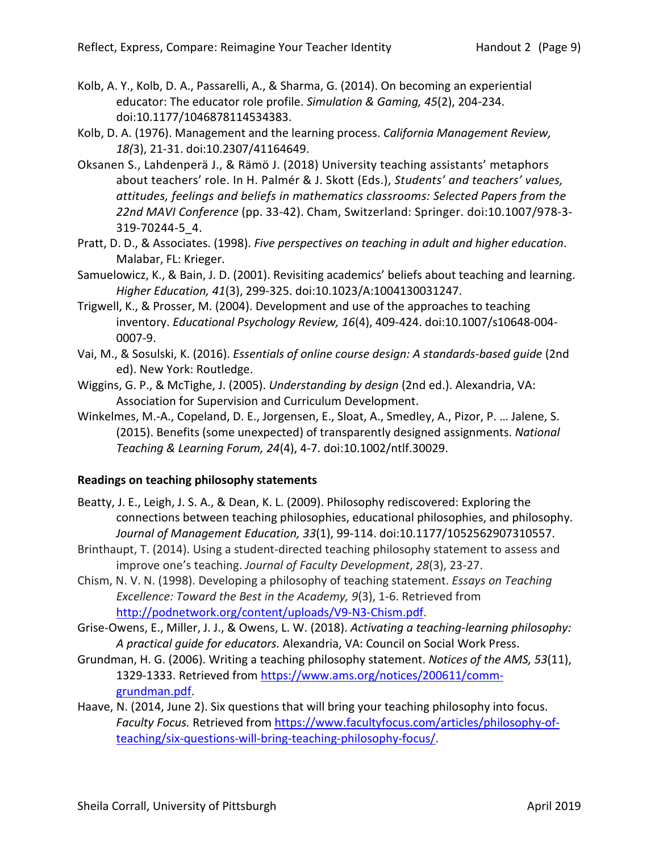- Kolb, A. Y., Kolb, D. A., Passarelli, A., & Sharma, G. (2014). On becoming an experiential educator: The educator role profile. *Simulation & Gaming, 45*(2), 204-234. doi:10.1177/1046878114534383.
- Kolb, D. A. (1976). Management and the learning process. *California Management Review, 18(*3), 21-31. doi:10.2307/41164649.
- Oksanen S., Lahdenperä J., & Rämö J. (2018) University teaching assistants' metaphors about teachers' role. In H. Palmér & J. Skott (Eds.), *Students' and teachers' values, attitudes, feelings and beliefs in mathematics classrooms: Selected Papers from the 22nd MAVI Conference* (pp. 33-42). Cham, Switzerland: Springer. doi:10.1007/978-3- 319-70244-5\_4.
- Pratt, D. D., & Associates. (1998). *Five perspectives on teaching in adult and higher education*. Malabar, FL: Krieger.
- Samuelowicz, K., & Bain, J. D. (2001). Revisiting academics' beliefs about teaching and learning. *Higher Education, 41*(3), 299-325. doi:10.1023/A:1004130031247.
- Trigwell, K., & Prosser, M. (2004). Development and use of the approaches to teaching inventory. *Educational Psychology Review, 16*(4), 409-424. doi:10.1007/s10648-004- 0007-9.
- Vai, M., & Sosulski, K. (2016). *Essentials of online course design: A standards-based guide* (2nd ed). New York: Routledge.
- Wiggins, G. P., & McTighe, J. (2005). *Understanding by design* (2nd ed.). Alexandria, VA: Association for Supervision and Curriculum Development.
- Winkelmes, M.-A., Copeland, D. E., Jorgensen, E., Sloat, A., Smedley, A., Pizor, P. … Jalene, S. (2015). Benefits (some unexpected) of transparently designed assignments. *National Teaching & Learning Forum, 24*(4), 4-7. doi:10.1002/ntlf.30029.

## **Readings on teaching philosophy statements**

- Beatty, J. E., Leigh, J. S. A., & Dean, K. L. (2009). Philosophy rediscovered: Exploring the connections between teaching philosophies, educational philosophies, and philosophy. *Journal of Management Education, 33*(1), 99-114. doi:10.1177/1052562907310557.
- Brinthaupt, T. (2014). Using a student-directed teaching philosophy statement to assess and improve one's teaching. *Journal of Faculty Development*, *28*(3), 23-27.
- Chism, N. V. N. (1998). Developing a philosophy of teaching statement. *Essays on Teaching Excellence: Toward the Best in the Academy, 9*(3), 1-6. Retrieved from http://podnetwork.org/content/uploads/V9-N3-Chism.pdf.
- Grise-Owens, E., Miller, J. J., & Owens, L. W. (2018). *Activating a teaching-learning philosophy: A practical guide for educators.* Alexandria, VA: Council on Social Work Press.
- Grundman, H. G. (2006). Writing a teaching philosophy statement. *Notices of the AMS, 53*(11), 1329-1333. Retrieved from https://www.ams.org/notices/200611/commgrundman.pdf.
- Haave, N. (2014, June 2). Six questions that will bring your teaching philosophy into focus. *Faculty Focus.* Retrieved from https://www.facultyfocus.com/articles/philosophy-ofteaching/six-questions-will-bring-teaching-philosophy-focus/.